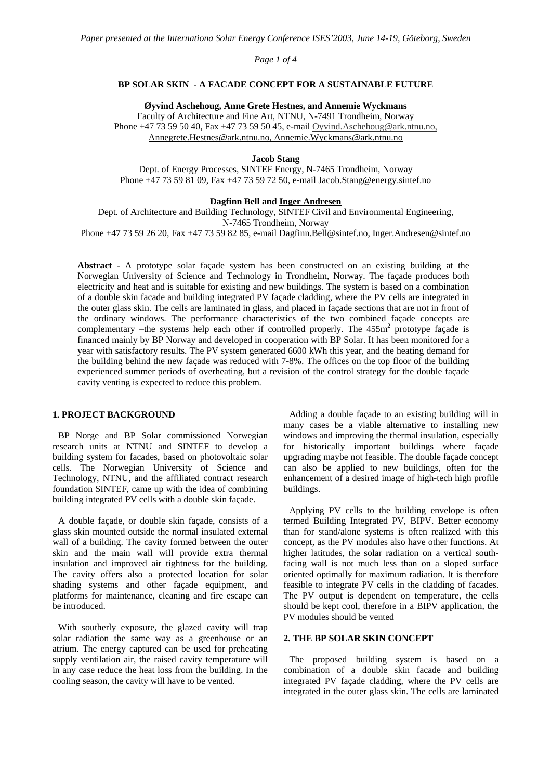# *Page 1 of 4*

## **BP SOLAR SKIN - A FACADE CONCEPT FOR A SUSTAINABLE FUTURE**

**Øyvind Aschehoug, Anne Grete Hestnes, and Annemie Wyckmans** 

Faculty of Architecture and Fine Art, NTNU, N-7491 Trondheim, Norway Phone +47 73 59 50 40, Fax +47 73 59 50 45, e-mail Oyvind.Aschehoug@ark.ntnu.no, Annegrete.Hestnes@ark.ntnu.no, Annemie.Wyckmans@ark.ntnu.no

## **Jacob Stang**

Dept. of Energy Processes, SINTEF Energy, N-7465 Trondheim, Norway Phone +47 73 59 81 09, Fax +47 73 59 72 50, e-mail Jacob.Stang@energy.sintef.no

## **Dagfinn Bell and Inger Andresen**

Dept. of Architecture and Building Technology, SINTEF Civil and Environmental Engineering, N-7465 Trondheim, Norway

Phone +47 73 59 26 20, Fax +47 73 59 82 85, e-mail Dagfinn.Bell@sintef.no, Inger.Andresen@sintef.no

**Abstract** - A prototype solar façade system has been constructed on an existing building at the Norwegian University of Science and Technology in Trondheim, Norway. The façade produces both electricity and heat and is suitable for existing and new buildings. The system is based on a combination of a double skin facade and building integrated PV façade cladding, where the PV cells are integrated in the outer glass skin. The cells are laminated in glass, and placed in façade sections that are not in front of the ordinary windows. The performance characteristics of the two combined façade concepts are complementary  $-i$ he systems help each other if controlled properly. The  $455m<sup>2</sup>$  prototype façade is financed mainly by BP Norway and developed in cooperation with BP Solar. It has been monitored for a year with satisfactory results. The PV system generated 6600 kWh this year, and the heating demand for the building behind the new façade was reduced with 7-8%. The offices on the top floor of the building experienced summer periods of overheating, but a revision of the control strategy for the double façade cavity venting is expected to reduce this problem.

## **1. PROJECT BACKGROUND**

BP Norge and BP Solar commissioned Norwegian research units at NTNU and SINTEF to develop a building system for facades, based on photovoltaic solar cells. The Norwegian University of Science and Technology, NTNU, and the affiliated contract research foundation SINTEF, came up with the idea of combining building integrated PV cells with a double skin façade.

A double façade, or double skin façade, consists of a glass skin mounted outside the normal insulated external wall of a building. The cavity formed between the outer skin and the main wall will provide extra thermal insulation and improved air tightness for the building. The cavity offers also a protected location for solar shading systems and other façade equipment, and platforms for maintenance, cleaning and fire escape can be introduced.

With southerly exposure, the glazed cavity will trap solar radiation the same way as a greenhouse or an atrium. The energy captured can be used for preheating supply ventilation air, the raised cavity temperature will in any case reduce the heat loss from the building. In the cooling season, the cavity will have to be vented.

Adding a double façade to an existing building will in many cases be a viable alternative to installing new windows and improving the thermal insulation, especially for historically important buildings where façade upgrading maybe not feasible. The double façade concept can also be applied to new buildings, often for the enhancement of a desired image of high-tech high profile buildings.

Applying PV cells to the building envelope is often termed Building Integrated PV, BIPV. Better economy than for stand/alone systems is often realized with this concept, as the PV modules also have other functions. At higher latitudes, the solar radiation on a vertical southfacing wall is not much less than on a sloped surface oriented optimally for maximum radiation. It is therefore feasible to integrate PV cells in the cladding of facades. The PV output is dependent on temperature, the cells should be kept cool, therefore in a BIPV application, the PV modules should be vented

## **2. THE BP SOLAR SKIN CONCEPT**

The proposed building system is based on a combination of a double skin facade and building integrated PV façade cladding, where the PV cells are integrated in the outer glass skin. The cells are laminated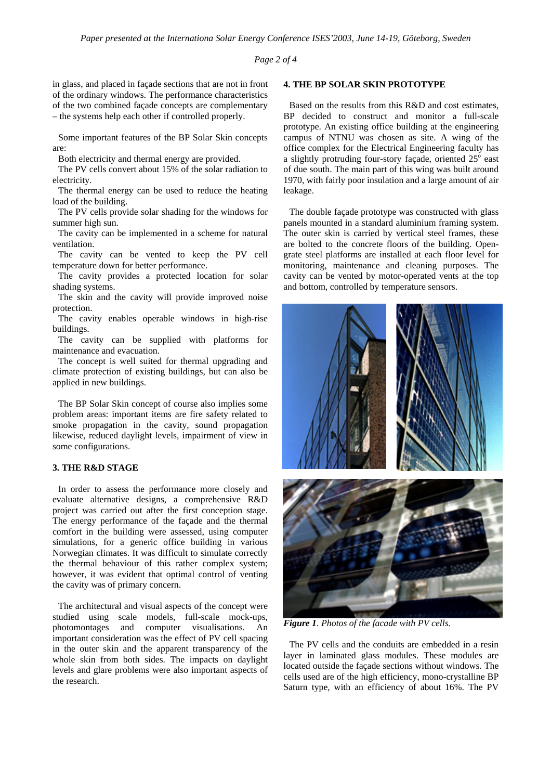*Page 2 of 4* 

in glass, and placed in façade sections that are not in front of the ordinary windows. The performance characteristics of the two combined façade concepts are complementary – the systems help each other if controlled properly.

Some important features of the BP Solar Skin concepts are:

Both electricity and thermal energy are provided.

The PV cells convert about 15% of the solar radiation to electricity.

The thermal energy can be used to reduce the heating load of the building.

The PV cells provide solar shading for the windows for summer high sun.

The cavity can be implemented in a scheme for natural ventilation.

The cavity can be vented to keep the PV cell temperature down for better performance.

The cavity provides a protected location for solar shading systems.

The skin and the cavity will provide improved noise protection.

The cavity enables operable windows in high-rise buildings.

The cavity can be supplied with platforms for maintenance and evacuation.

The concept is well suited for thermal upgrading and climate protection of existing buildings, but can also be applied in new buildings.

The BP Solar Skin concept of course also implies some problem areas: important items are fire safety related to smoke propagation in the cavity, sound propagation likewise, reduced daylight levels, impairment of view in some configurations.

## **3. THE R&D STAGE**

In order to assess the performance more closely and evaluate alternative designs, a comprehensive R&D project was carried out after the first conception stage. The energy performance of the façade and the thermal comfort in the building were assessed, using computer simulations, for a generic office building in various Norwegian climates. It was difficult to simulate correctly the thermal behaviour of this rather complex system; however, it was evident that optimal control of venting the cavity was of primary concern.

The architectural and visual aspects of the concept were studied using scale models, full-scale mock-ups, photomontages and computer visualisations. An important consideration was the effect of PV cell spacing in the outer skin and the apparent transparency of the whole skin from both sides. The impacts on daylight levels and glare problems were also important aspects of the research.

#### **4. THE BP SOLAR SKIN PROTOTYPE**

Based on the results from this R&D and cost estimates, BP decided to construct and monitor a full-scale prototype. An existing office building at the engineering campus of NTNU was chosen as site. A wing of the office complex for the Electrical Engineering faculty has a slightly protruding four-story façade, oriented  $25^\circ$  east of due south. The main part of this wing was built around 1970, with fairly poor insulation and a large amount of air leakage.

The double façade prototype was constructed with glass panels mounted in a standard aluminium framing system. The outer skin is carried by vertical steel frames, these are bolted to the concrete floors of the building. Opengrate steel platforms are installed at each floor level for monitoring, maintenance and cleaning purposes. The cavity can be vented by motor-operated vents at the top and bottom, controlled by temperature sensors.



*Figure 1. Photos of the facade with PV cells.* 

The PV cells and the conduits are embedded in a resin layer in laminated glass modules. These modules are located outside the façade sections without windows. The cells used are of the high efficiency, mono-crystalline BP Saturn type, with an efficiency of about 16%. The PV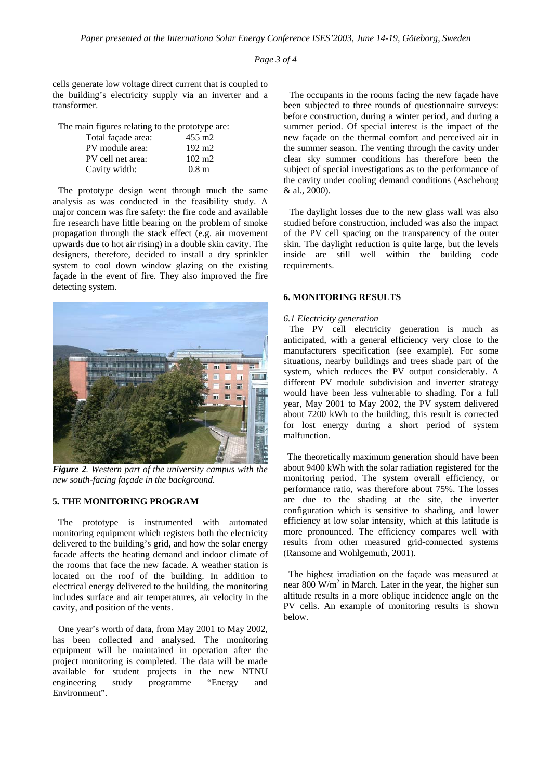*Page 3 of 4* 

cells generate low voltage direct current that is coupled to the building's electricity supply via an inverter and a transformer.

The main figures relating to the prototype are:

| Total façade area: | $455 \text{ m}$ 2 |
|--------------------|-------------------|
| PV module area:    | $192 \text{ m}$   |
| PV cell net area:  | $102 \text{ m}$   |
| Cavity width:      | 0.8 <sub>m</sub>  |

The prototype design went through much the same analysis as was conducted in the feasibility study. A major concern was fire safety: the fire code and available fire research have little bearing on the problem of smoke propagation through the stack effect (e.g. air movement upwards due to hot air rising) in a double skin cavity. The designers, therefore, decided to install a dry sprinkler system to cool down window glazing on the existing façade in the event of fire. They also improved the fire detecting system.



*Figure 2. Western part of the university campus with the new south-facing façade in the background.* 

# **5. THE MONITORING PROGRAM**

The prototype is instrumented with automated monitoring equipment which registers both the electricity delivered to the building's grid, and how the solar energy facade affects the heating demand and indoor climate of the rooms that face the new facade. A weather station is located on the roof of the building. In addition to electrical energy delivered to the building, the monitoring includes surface and air temperatures, air velocity in the cavity, and position of the vents.

One year's worth of data, from May 2001 to May 2002, has been collected and analysed. The monitoring equipment will be maintained in operation after the project monitoring is completed. The data will be made available for student projects in the new NTNU engineering study programme "Energy and Environment".

The occupants in the rooms facing the new façade have been subjected to three rounds of questionnaire surveys: before construction, during a winter period, and during a summer period. Of special interest is the impact of the new façade on the thermal comfort and perceived air in the summer season. The venting through the cavity under clear sky summer conditions has therefore been the subject of special investigations as to the performance of the cavity under cooling demand conditions (Aschehoug & al., 2000).

The daylight losses due to the new glass wall was also studied before construction, included was also the impact of the PV cell spacing on the transparency of the outer skin. The daylight reduction is quite large, but the levels inside are still well within the building code requirements.

#### **6. MONITORING RESULTS**

#### *6.1 Electricity generation*

The PV cell electricity generation is much as anticipated, with a general efficiency very close to the manufacturers specification (see example). For some situations, nearby buildings and trees shade part of the system, which reduces the PV output considerably. A different PV module subdivision and inverter strategy would have been less vulnerable to shading. For a full year, May 2001 to May 2002, the PV system delivered about 7200 kWh to the building, this result is corrected for lost energy during a short period of system malfunction.

The theoretically maximum generation should have been about 9400 kWh with the solar radiation registered for the monitoring period. The system overall efficiency, or performance ratio, was therefore about 75%. The losses are due to the shading at the site, the inverter configuration which is sensitive to shading, and lower efficiency at low solar intensity, which at this latitude is more pronounced. The efficiency compares well with results from other measured grid-connected systems (Ransome and Wohlgemuth, 2001).

The highest irradiation on the façade was measured at near  $800 \text{ W/m}^2$  in March. Later in the year, the higher sun altitude results in a more oblique incidence angle on the PV cells. An example of monitoring results is shown below.